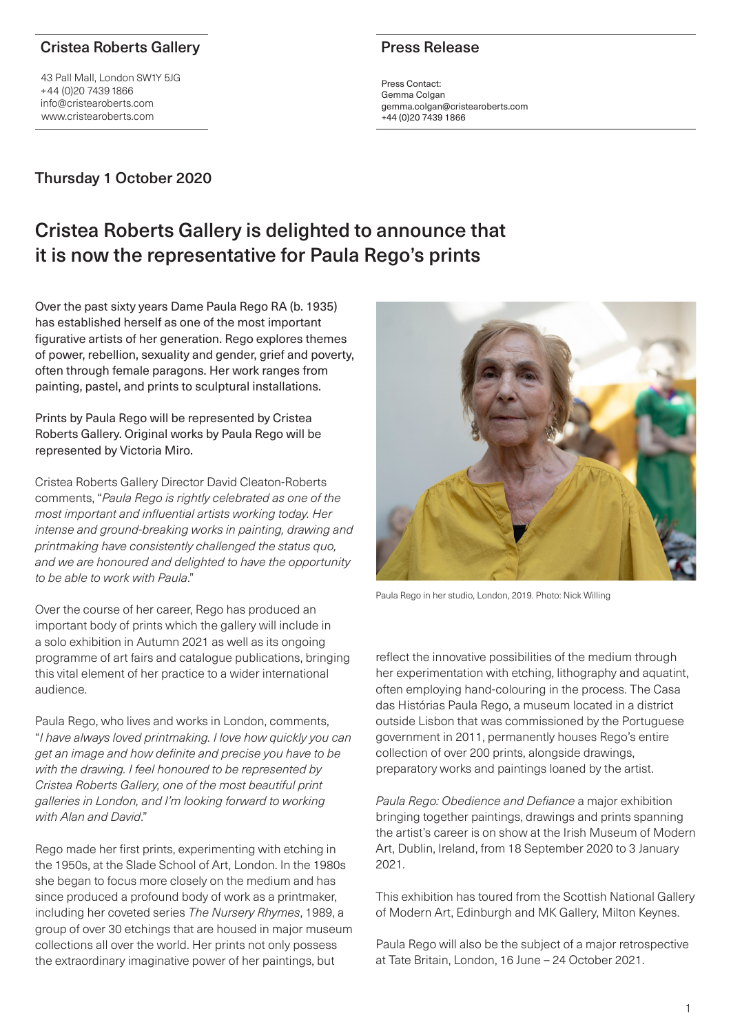### Cristea Roberts Gallery

43 Pall Mall, London SW1Y 5JG +44 (0)20 7439 1866 info@cristearoberts.com www.cristearoberts.com

# Thursday 1 October 2020

### Press Release

Press Contact: Gemma Colgan gemma.colgan@cristearoberts.com +44 (0)20 7439 1866

# Cristea Roberts Gallery is delighted to announce that it is now the representative for Paula Rego's prints

Over the past sixty years Dame Paula Rego RA (b. 1935) has established herself as one of the most important figurative artists of her generation. Rego explores themes of power, rebellion, sexuality and gender, grief and poverty, often through female paragons. Her work ranges from painting, pastel, and prints to sculptural installations.

Prints by Paula Rego will be represented by Cristea Roberts Gallery. Original works by Paula Rego will be represented by Victoria Miro.

Cristea Roberts Gallery Director David Cleaton-Roberts comments, "*Paula Rego is rightly celebrated as one of the*  most important and influential artists working today. Her intense and ground-breaking works in painting, drawing and printmaking have consistently challenged the status quo, and we are honoured and delighted to have the opportunity to be able to work with Paula."

Over the course of her career, Rego has produced an important body of prints which the gallery will include in a solo exhibition in Autumn 2021 as well as its ongoing programme of art fairs and catalogue publications, bringing this vital element of her practice to a wider international audience.

Paula Rego, who lives and works in London, comments, "I have always loved printmaking. I love how quickly you can get an image and how definite and precise you have to be with the drawing. I feel honoured to be represented by Cristea Roberts Gallery, one of the most beautiful print galleries in London, and I'm looking forward to working with Alan and David"

Rego made her first prints, experimenting with etching in the 1950s, at the Slade School of Art, London. In the 1980s she began to focus more closely on the medium and has since produced a profound body of work as a printmaker, including her coveted series *The Nursery Rhymes*, 1989, a group of over 30 etchings that are housed in major museum collections all over the world. Her prints not only possess the extraordinary imaginative power of her paintings, but



Paula Rego in her studio, London, 2019. Photo: Nick Willing

reflect the innovative possibilities of the medium through her experimentation with etching, lithography and aquatint, often employing hand-colouring in the process. The Casa das Histórias Paula Rego, a museum located in a district outside Lisbon that was commissioned by the Portuguese government in 2011, permanently houses Rego's entire collection of over 200 prints, alongside drawings, preparatory works and paintings loaned by the artist.

Paula Rego: Obedience and Defiance a major exhibition bringing together paintings, drawings and prints spanning the artist's career is on show at the Irish Museum of Modern Art, Dublin, Ireland, from 18 September 2020 to 3 January 2021.

This exhibition has toured from the Scottish National Gallery of Modern Art, Edinburgh and MK Gallery, Milton Keynes.

Paula Rego will also be the subject of a major retrospective at Tate Britain, London, 16 June – 24 October 2021.